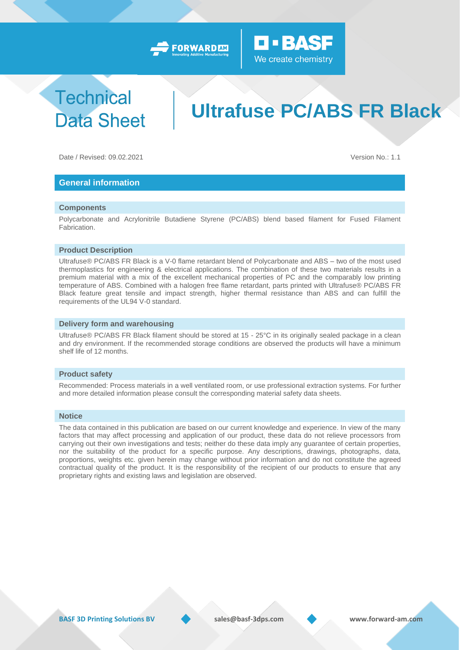



## **Technical Data Sheet**

# **Ultrafuse PC/ABS FR Black**

Date / Revised: 09.02.2021 Version No.: 1.1

## **General information**

### **Components**

Polycarbonate and Acrylonitrile Butadiene Styrene (PC/ABS) blend based filament for Fused Filament Fabrication.

### **Product Description**

Ultrafuse® PC/ABS FR Black is a V-0 flame retardant blend of Polycarbonate and ABS – two of the most used thermoplastics for engineering & electrical applications. The combination of these two materials results in a premium material with a mix of the excellent mechanical properties of PC and the comparably low printing temperature of ABS. Combined with a halogen free flame retardant, parts printed with Ultrafuse® PC/ABS FR Black feature great tensile and impact strength, higher thermal resistance than ABS and can fulfill the requirements of the UL94 V-0 standard.

#### **Delivery form and warehousing**

Ultrafuse® PC/ABS FR Black filament should be stored at 15 - 25°C in its originally sealed package in a clean and dry environment. If the recommended storage conditions are observed the products will have a minimum shelf life of 12 months.

#### **Product safety**

Recommended: Process materials in a well ventilated room, or use professional extraction systems. For further and more detailed information please consult the corresponding material safety data sheets.

#### **Notice**

The data contained in this publication are based on our current knowledge and experience. In view of the many factors that may affect processing and application of our product, these data do not relieve processors from carrying out their own investigations and tests; neither do these data imply any guarantee of certain properties, nor the suitability of the product for a specific purpose. Any descriptions, drawings, photographs, data, proportions, weights etc. given herein may change without prior information and do not constitute the agreed contractual quality of the product. It is the responsibility of the recipient of our products to ensure that any proprietary rights and existing laws and legislation are observed.

**BASF 3D Printing Solutions BV sales@basf-3dps.com www.forward-am.com**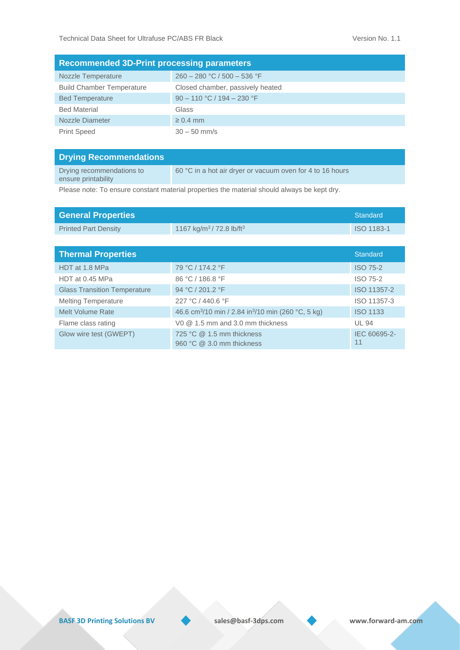| <b>Recommended 3D-Print processing parameters</b> |                                  |  |  |  |  |
|---------------------------------------------------|----------------------------------|--|--|--|--|
| <b>Nozzle Temperature</b>                         | $260 - 280$ °C / 500 - 536 °F    |  |  |  |  |
| <b>Build Chamber Temperature</b>                  | Closed chamber, passively heated |  |  |  |  |
| <b>Bed Temperature</b>                            | $90 - 110$ °C / 194 - 230 °F     |  |  |  |  |
| <b>Bed Material</b>                               | Glass                            |  |  |  |  |
| Nozzle Diameter                                   | $\geq 0.4$ mm                    |  |  |  |  |
| <b>Print Speed</b>                                | $30 - 50$ mm/s                   |  |  |  |  |

| <b>Drying Recommendations</b>                    |                                                           |
|--------------------------------------------------|-----------------------------------------------------------|
| Drying recommendations to<br>ensure printability | 60 °C in a hot air dryer or vacuum oven for 4 to 16 hours |

Please note: To ensure constant material properties the material should always be kept dry.

| <b>General Properties</b>           |                                                                            | Standard           |
|-------------------------------------|----------------------------------------------------------------------------|--------------------|
| <b>Printed Part Density</b>         | 1167 kg/m <sup>3</sup> /72.8 lb/ft <sup>3</sup>                            | ISO 1183-1         |
|                                     |                                                                            |                    |
| <b>Thermal Properties</b>           |                                                                            | Standard           |
| HDT at 1.8 MPa                      | 79 °C / 174.2 °F                                                           | <b>ISO 75-2</b>    |
| HDT at 0.45 MPa                     | 86 °C / 186.8 °F                                                           | <b>ISO 75-2</b>    |
| <b>Glass Transition Temperature</b> | 94 °C / 201.2 °F                                                           | ISO 11357-2        |
| <b>Melting Temperature</b>          | 227 °C / 440.6 °F                                                          | ISO 11357-3        |
| Melt Volume Rate                    | 46.6 cm <sup>3</sup> /10 min / 2.84 in <sup>3</sup> /10 min (260 °C, 5 kg) | <b>ISO 1133</b>    |
| Flame class rating                  | V <sub>0</sub> $@$ 1.5 mm and 3.0 mm thickness                             | <b>UL 94</b>       |
| Glow wire test (GWEPT)              | 725 °C $@$ 1.5 mm thickness<br>960 °C @ 3.0 mm thickness                   | IEC 60695-2-<br>11 |

**BASF 3D Printing Solutions BV** sales@basf-3dps.com www.forward-am.com